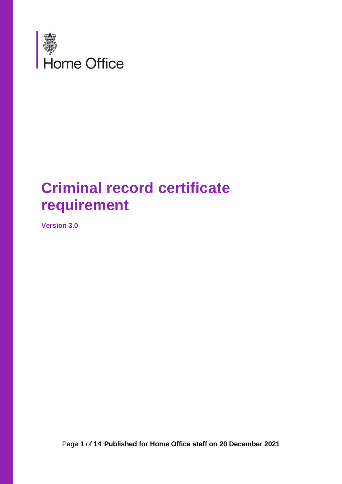

# **Criminal record certificate requirement**

**Version 3.0**

Page **1** of **14 Published for Home Office staff on 20 December 2021**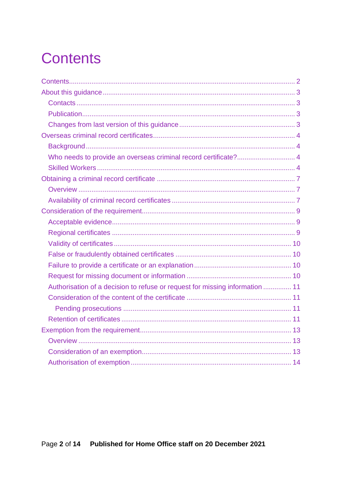# <span id="page-1-0"></span>**Contents**

| Who needs to provide an overseas criminal record certificate? 4              |  |
|------------------------------------------------------------------------------|--|
|                                                                              |  |
|                                                                              |  |
|                                                                              |  |
|                                                                              |  |
|                                                                              |  |
|                                                                              |  |
|                                                                              |  |
|                                                                              |  |
|                                                                              |  |
|                                                                              |  |
|                                                                              |  |
| Authorisation of a decision to refuse or request for missing information  11 |  |
|                                                                              |  |
|                                                                              |  |
|                                                                              |  |
|                                                                              |  |
|                                                                              |  |
|                                                                              |  |
|                                                                              |  |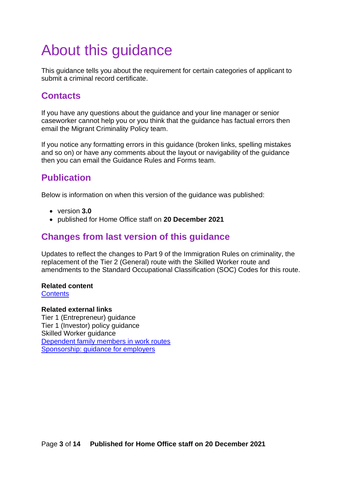# <span id="page-2-0"></span>About this guidance

This guidance tells you about the requirement for certain categories of applicant to submit a criminal record certificate.

## <span id="page-2-1"></span>**Contacts**

If you have any questions about the guidance and your line manager or senior caseworker cannot help you or you think that the guidance has factual errors then email the Migrant Criminality Policy team.

If you notice any formatting errors in this guidance (broken links, spelling mistakes and so on) or have any comments about the layout or navigability of the guidance then you can email the Guidance Rules and Forms team.

# <span id="page-2-2"></span>**Publication**

Below is information on when this version of the guidance was published:

- version **3.0**
- published for Home Office staff on **20 December 2021**

# <span id="page-2-3"></span>**Changes from last version of this guidance**

Updates to reflect the changes to Part 9 of the Immigration Rules on criminality, the replacement of the Tier 2 (General) route with the Skilled Worker route and amendments to the Standard Occupational Classification (SOC) Codes for this route.

## **Related content**

**[Contents](#page-1-0)** 

### **Related external links**

Tier 1 (Entrepreneur) guidance Tier 1 (Investor) policy guidance Skilled Worker guidance [Dependent family members in work routes](https://www.gov.uk/government/publications/dependent-family-members-in-work-routes-immigration-staff-guidance) [Sponsorship: guidance for employers](https://www.gov.uk/government/collections/sponsorship-information-for-employers-and-educators)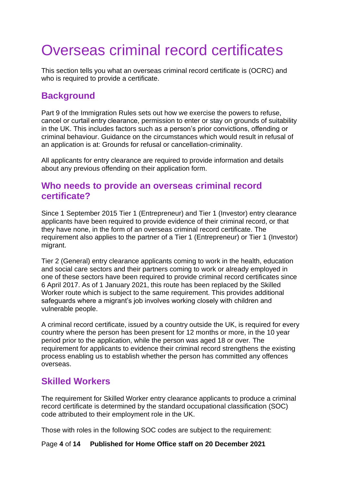# <span id="page-3-0"></span>Overseas criminal record certificates

This section tells you what an overseas criminal record certificate is (OCRC) and who is required to provide a certificate.

## <span id="page-3-1"></span>**Background**

Part 9 of the Immigration Rules sets out how we exercise the powers to refuse, cancel or curtail entry clearance, permission to enter or stay on grounds of suitability in the UK. This includes factors such as a person's prior convictions, offending or criminal behaviour. Guidance on the circumstances which would result in refusal of an application is at: Grounds for refusal or cancellation-criminality.

All applicants for entry clearance are required to provide information and details about any previous offending on their application form.

### <span id="page-3-2"></span>**Who needs to provide an overseas criminal record certificate?**

Since 1 September 2015 Tier 1 (Entrepreneur) and Tier 1 (Investor) entry clearance applicants have been required to provide evidence of their criminal record, or that they have none, in the form of an overseas criminal record certificate. The requirement also applies to the partner of a Tier 1 (Entrepreneur) or Tier 1 (Investor) migrant.

Tier 2 (General) entry clearance applicants coming to work in the health, education and social care sectors and their partners coming to work or already employed in one of these sectors have been required to provide criminal record certificates since 6 April 2017. As of 1 January 2021, this route has been replaced by the Skilled Worker route which is subject to the same requirement. This provides additional safeguards where a migrant's job involves working closely with children and vulnerable people.

A criminal record certificate, issued by a country outside the UK, is required for every country where the person has been present for 12 months or more, in the 10 year period prior to the application, while the person was aged 18 or over. The requirement for applicants to evidence their criminal record strengthens the existing process enabling us to establish whether the person has committed any offences overseas.

## <span id="page-3-3"></span>**Skilled Workers**

The requirement for Skilled Worker entry clearance applicants to produce a criminal record certificate is determined by the standard occupational classification (SOC) code attributed to their employment role in the UK.

<span id="page-3-4"></span>Those with roles in the following SOC codes are subject to the requirement:

### Page **4** of **14 Published for Home Office staff on 20 December 2021**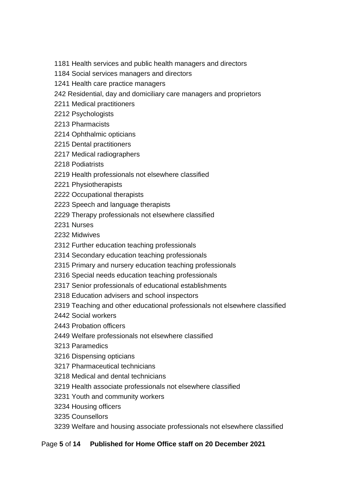- 1181 Health services and public health managers and directors
- 1184 Social services managers and directors
- 1241 Health care practice managers
- 242 Residential, day and domiciliary care managers and proprietors
- 2211 Medical practitioners
- 2212 Psychologists
- 2213 Pharmacists
- 2214 Ophthalmic opticians
- 2215 Dental practitioners
- 2217 Medical radiographers
- 2218 Podiatrists
- 2219 Health professionals not elsewhere classified
- 2221 Physiotherapists
- 2222 Occupational therapists
- 2223 Speech and language therapists
- 2229 Therapy professionals not elsewhere classified
- 2231 Nurses
- 2232 Midwives
- 2312 Further education teaching professionals
- 2314 Secondary education teaching professionals
- 2315 Primary and nursery education teaching professionals
- 2316 Special needs education teaching professionals
- 2317 Senior professionals of educational establishments
- 2318 Education advisers and school inspectors
- 2319 Teaching and other educational professionals not elsewhere classified
- 2442 Social workers
- 2443 Probation officers
- 2449 Welfare professionals not elsewhere classified
- 3213 Paramedics
- 3216 Dispensing opticians
- 3217 Pharmaceutical technicians
- 3218 Medical and dental technicians
- 3219 Health associate professionals not elsewhere classified
- 3231 Youth and community workers
- 3234 Housing officers
- 3235 Counsellors
- 3239 Welfare and housing associate professionals not elsewhere classified

### Page **5** of **14 Published for Home Office staff on 20 December 2021**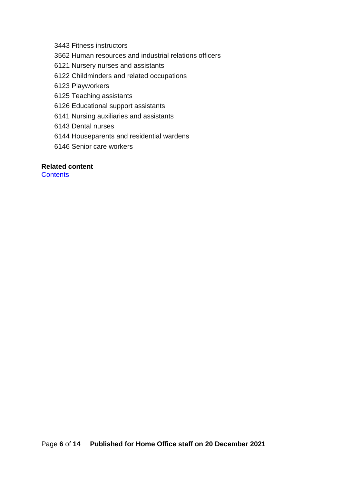3443 Fitness instructors

3562 Human resources and industrial relations officers

6121 Nursery nurses and assistants

6122 Childminders and related occupations

6123 Playworkers

6125 Teaching assistants

6126 Educational support assistants

6141 Nursing auxiliaries and assistants

6143 Dental nurses

6144 Houseparents and residential wardens

6146 Senior care workers

#### **Related content**

**[Contents](#page-1-0)**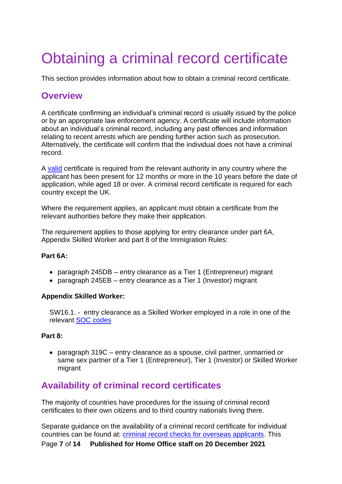# <span id="page-6-0"></span>Obtaining a criminal record certificate

This section provides information about how to obtain a criminal record certificate.

## <span id="page-6-1"></span>**Overview**

A certificate confirming an individual's criminal record is usually issued by the police or by an appropriate law enforcement agency. A certificate will include information about an individual's criminal record, including any past offences and information relating to recent arrests which are pending further action such as prosecution. Alternatively, the certificate will confirm that the individual does not have a criminal record.

A [valid](#page-8-3) certificate is required from the relevant authority in any country where the applicant has been present for 12 months or more in the 10 years before the date of application, while aged 18 or over. A criminal record certificate is required for each country except the UK.

Where the requirement applies, an applicant must obtain a certificate from the relevant authorities before they make their application.

The requirement applies to those applying for entry clearance under part 6A, Appendix Skilled Worker and part 8 of the Immigration Rules:

### **Part 6A:**

- paragraph 245DB entry clearance as a Tier 1 (Entrepreneur) migrant
- paragraph 245EB entry clearance as a Tier 1 (Investor) migrant

### **Appendix Skilled Worker:**

SW16.1. - entry clearance as a Skilled Worker employed in a role in one of the relevant [SOC codes](#page-3-4)

### **Part 8:**

• paragraph 319C – entry clearance as a spouse, civil partner, unmarried or same sex partner of a Tier 1 (Entrepreneur), Tier 1 (Investor) or Skilled Worker migrant

## <span id="page-6-2"></span>**Availability of criminal record certificates**

The majority of countries have procedures for the issuing of criminal record certificates to their own citizens and to third country nationals living there.

Page **7** of **14 Published for Home Office staff on 20 December 2021** Separate guidance on the availability of a criminal record certificate for individual countries can be found at: [criminal record checks for overseas applicants.](https://www.gov.uk/government/publications/criminal-records-checks-for-overseas-applicants) This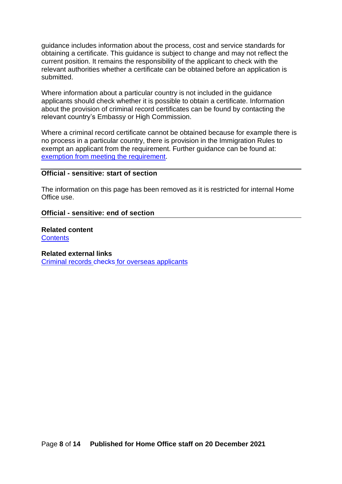guidance includes information about the process, cost and service standards for obtaining a certificate. This guidance is subject to change and may not reflect the current position. It remains the responsibility of the applicant to check with the relevant authorities whether a certificate can be obtained before an application is submitted.

Where information about a particular country is not included in the guidance applicants should check whether it is possible to obtain a certificate. Information about the provision of criminal record certificates can be found by contacting the relevant country's Embassy or High Commission.

Where a criminal record certificate cannot be obtained because for example there is no process in a particular country, there is provision in the Immigration Rules to exempt an applicant from the requirement. Further guidance can be found at: [exemption from meeting the requirement.](#page-11-0)

### **Official - sensitive: start of section**

The information on this page has been removed as it is restricted for internal Home Office use.

#### **Official - sensitive: end of section**

**Related content [Contents](#page-1-0)** 

#### **Related external links**

[Criminal records checks](https://www.gov.uk/government/publications/criminal-records-checks-for-overseas-applicants) for overseas applicants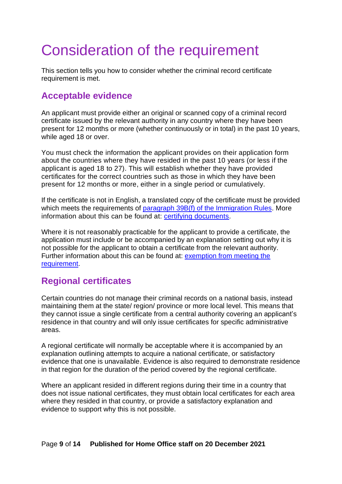# <span id="page-8-0"></span>Consideration of the requirement

This section tells you how to consider whether the criminal record certificate requirement is met.

## <span id="page-8-1"></span>**Acceptable evidence**

An applicant must provide either an original or scanned copy of a criminal record certificate issued by the relevant authority in any country where they have been present for 12 months or more (whether continuously or in total) in the past 10 years, while aged 18 or over.

You must check the information the applicant provides on their application form about the countries where they have resided in the past 10 years (or less if the applicant is aged 18 to 27). This will establish whether they have provided certificates for the correct countries such as those in which they have been present for 12 months or more, either in a single period or cumulatively.

If the certificate is not in English, a translated copy of the certificate must be provided which meets the requirements of [paragraph 39B\(f\) of the Immigration Rules.](https://www.gov.uk/guidance/immigration-rules/immigration-rules-part-1-leave-to-enter-or-stay-in-the-uk) More information about this can be found at: [certifying documents.](https://www.gov.uk/certifying-a-document)

Where it is not reasonably practicable for the applicant to provide a certificate, the application must include or be accompanied by an explanation setting out why it is not possible for the applicant to obtain a certificate from the relevant authority. Further information about this can be found at: [exemption from meeting the](#page-11-0)  [requirement.](#page-11-0)

## <span id="page-8-2"></span>**Regional certificates**

Certain countries do not manage their criminal records on a national basis, instead maintaining them at the state/ region/ province or more local level. This means that they cannot issue a single certificate from a central authority covering an applicant's residence in that country and will only issue certificates for specific administrative areas.

A regional certificate will normally be acceptable where it is accompanied by an explanation outlining attempts to acquire a national certificate, or satisfactory evidence that one is unavailable. Evidence is also required to demonstrate residence in that region for the duration of the period covered by the regional certificate.

<span id="page-8-3"></span>Where an applicant resided in different regions during their time in a country that does not issue national certificates, they must obtain local certificates for each area where they resided in that country, or provide a satisfactory explanation and evidence to support why this is not possible.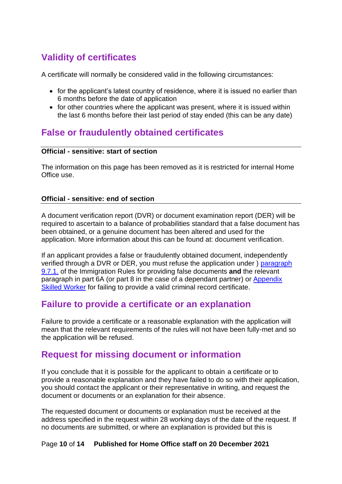# <span id="page-9-0"></span>**Validity of certificates**

A certificate will normally be considered valid in the following circumstances:

- for the applicant's latest country of residence, where it is issued no earlier than 6 months before the date of application
- for other countries where the applicant was present, where it is issued within the last 6 months before their last period of stay ended (this can be any date)

## <span id="page-9-1"></span>**False or fraudulently obtained certificates**

### **Official - sensitive: start of section**

The information on this page has been removed as it is restricted for internal Home Office use.

### **Official - sensitive: end of section**

A document verification report (DVR) or document examination report (DER) will be required to ascertain to a balance of probabilities standard that a false document has been obtained, or a genuine document has been altered and used for the application. More information about this can be found at: document verification.

If an applicant provides a false or fraudulently obtained document, independently verified through a DVR or DER, you must refuse the application under ) [paragraph](https://www.gov.uk/guidance/immigration-rules/immigration-rules-part-9-grounds-for-refusal)  [9.7.1.](https://www.gov.uk/guidance/immigration-rules/immigration-rules-part-9-grounds-for-refusal) of the Immigration Rules for providing false documents **and** the relevant paragraph in part 6A (or part 8 in the case of a dependant partner) or [Appendix](https://www.gov.uk/guidance/immigration-rules/immigration-rules-appendix-skilled-worker)  [Skilled Worker](https://www.gov.uk/guidance/immigration-rules/immigration-rules-appendix-skilled-worker) for failing to provide a valid criminal record certificate.

### <span id="page-9-2"></span>**Failure to provide a certificate or an explanation**

Failure to provide a certificate or a reasonable explanation with the application will mean that the relevant requirements of the rules will not have been fully-met and so the application will be refused.

## <span id="page-9-3"></span>**Request for missing document or information**

If you conclude that it is possible for the applicant to obtain a certificate or to provide a reasonable explanation and they have failed to do so with their application, you should contact the applicant or their representative in writing, and request the document or documents or an explanation for their absence.

The requested document or documents or explanation must be received at the address specified in the request within 28 working days of the date of the request. If no documents are submitted, or where an explanation is provided but this is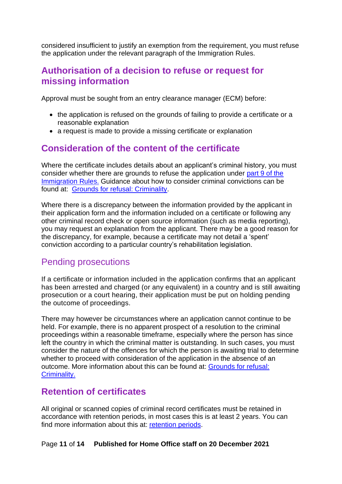considered insufficient to justify an exemption from the requirement, you must refuse the application under the relevant paragraph of the Immigration Rules.

## <span id="page-10-0"></span>**Authorisation of a decision to refuse or request for missing information**

Approval must be sought from an entry clearance manager (ECM) before:

- the application is refused on the grounds of failing to provide a certificate or a reasonable explanation
- a request is made to provide a missing certificate or explanation

## <span id="page-10-1"></span>**Consideration of the content of the certificate**

Where the certificate includes details about an applicant's criminal history, you must consider whether there are grounds to refuse the application under [part 9 of the](https://www.gov.uk/guidance/immigration-rules/immigration-rules-part-9-grounds-for-refusal)  [Immigration Rules.](https://www.gov.uk/guidance/immigration-rules/immigration-rules-part-9-grounds-for-refusal) Guidance about how to consider criminal convictions can be found at: [Grounds for refusal: Criminality.](https://www.gov.uk/government/publications/grounds-for-refusal-criminality)

Where there is a discrepancy between the information provided by the applicant in their application form and the information included on a certificate or following any other criminal record check or open source information (such as media reporting), you may request an explanation from the applicant. There may be a good reason for the discrepancy, for example, because a certificate may not detail a 'spent' conviction according to a particular country's rehabilitation legislation.

## <span id="page-10-2"></span>Pending prosecutions

If a certificate or information included in the application confirms that an applicant has been arrested and charged (or any equivalent) in a country and is still awaiting prosecution or a court hearing, their application must be put on holding pending the outcome of proceedings.

There may however be circumstances where an application cannot continue to be held. For example, there is no apparent prospect of a resolution to the criminal proceedings within a reasonable timeframe, especially where the person has since left the country in which the criminal matter is outstanding. In such cases, you must consider the nature of the offences for which the person is awaiting trial to determine whether to proceed with consideration of the application in the absence of an outcome. More information about this can be found at: [Grounds for refusal:](https://www.gov.uk/government/publications/grounds-for-refusal-criminality)  [Criminality.](https://www.gov.uk/government/publications/grounds-for-refusal-criminality)

## <span id="page-10-3"></span>**Retention of certificates**

All original or scanned copies of criminal record certificates must be retained in accordance with retention periods, in most cases this is at least 2 years. You can find more information about this at: [retention periods.](https://www.gov.uk/government/publications/home-office-retention-and-disposal-standards)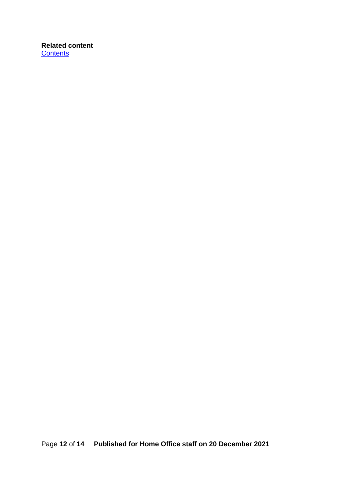### <span id="page-11-0"></span>**Related content [Contents](#page-1-0)**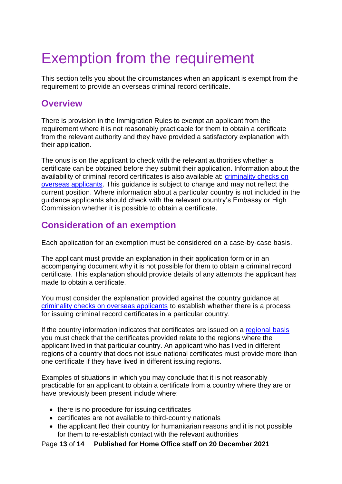# <span id="page-12-0"></span>Exemption from the requirement

This section tells you about the circumstances when an applicant is exempt from the requirement to provide an overseas criminal record certificate.

## <span id="page-12-1"></span>**Overview**

There is provision in the Immigration Rules to exempt an applicant from the requirement where it is not reasonably practicable for them to obtain a certificate from the relevant authority and they have provided a satisfactory explanation with their application.

The onus is on the applicant to check with the relevant authorities whether a certificate can be obtained before they submit their application. Information about the availability of criminal record certificates is also available at: [criminality checks on](https://www.gov.uk/government/publications/criminal-records-checks-for-overseas-applicants)  [overseas applicants.](https://www.gov.uk/government/publications/criminal-records-checks-for-overseas-applicants) This guidance is subject to change and may not reflect the current position. Where information about a particular country is not included in the guidance applicants should check with the relevant country's Embassy or High Commission whether it is possible to obtain a certificate.

# <span id="page-12-2"></span>**Consideration of an exemption**

Each application for an exemption must be considered on a case-by-case basis.

The applicant must provide an explanation in their application form or in an accompanying document why it is not possible for them to obtain a criminal record certificate. This explanation should provide details of any attempts the applicant has made to obtain a certificate.

You must consider the explanation provided against the country guidance at [criminality checks on overseas applicants](https://www.gov.uk/government/publications/criminal-records-checks-for-overseas-applicants) to establish whether there is a process for issuing criminal record certificates in a particular country.

If the country information indicates that certificates are issued on a [regional basis](#page-8-2) you must check that the certificates provided relate to the regions where the applicant lived in that particular country. An applicant who has lived in different regions of a country that does not issue national certificates must provide more than one certificate if they have lived in different issuing regions.

Examples of situations in which you may conclude that it is not reasonably practicable for an applicant to obtain a certificate from a country where they are or have previously been present include where:

- there is no procedure for issuing certificates
- certificates are not available to third-country nationals
- the applicant fled their country for humanitarian reasons and it is not possible for them to re-establish contact with the relevant authorities

Page **13** of **14 Published for Home Office staff on 20 December 2021**